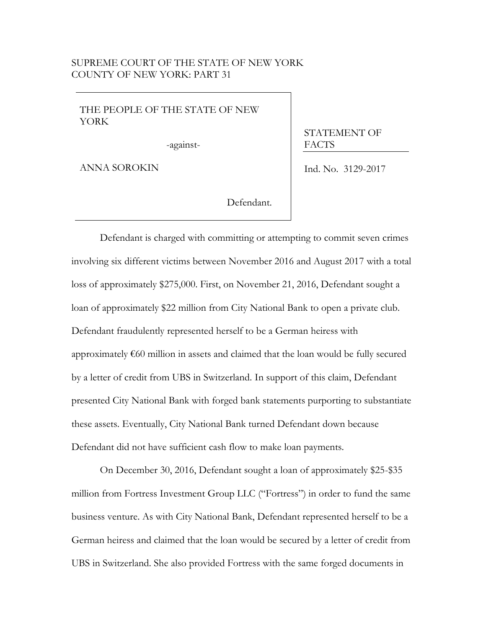## SUPREME COURT OF THE STATE OF NEW YORK UNTY OF NEW YORK: PART 31

## THE PEOPLE OF THE STATE OF NEW YORK

-against-

ANNA SOROKIN

STATEMENT OF FACTS

Ind. No. 3129-2017

Defendant.

Defendant is charged with committing or attempting to commit seven crimes involving six different victims between November 2016 and August 2017 with a total loss of approximately \$275,000. First, on November 21, 2016, Defendant sought a loan of approximately \$22 million from City National Bank to open a private club. Defendant fraudulently represented herself to be a German heiress with approximately €60 million in assets and claimed that the loan would be fully secured by a letter of credit from UBS in Switzerland. In support of this claim, Defendant presented City National Bank with forged bank statements purporting to substantiate these assets. Eventually, City National Bank turned Defendant down because Defendant did not have sufficient cash flow to make loan payments.

On December 30, 2016, Defendant sought a loan of approximately \$25-\$35 million from Fortress Investment Group LLC ("Fortress") in order to fund the same business venture. As with City National Bank, Defendant represented herself to be a German heiress and claimed that the loan would be secured by a letter of credit from UBS in Switzerland. She also provided Fortress with the same forged documents in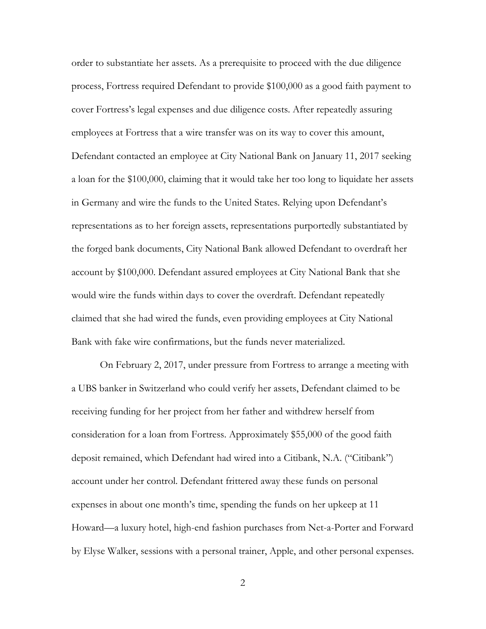order to substantiate her assets. As a prerequisite to proceed with the due diligence process, Fortress required Defendant to provide \$100,000 as a good faith payment to cover Fortress's legal expenses and due diligence costs. After repeatedly assuring employees at Fortress that a wire transfer was on its way to cover this amount, Defendant contacted an employee at City National Bank on January 11, 2017 seeking a loan for the \$100,000, claiming that it would take her too long to liquidate her assets in Germany and wire the funds to the United States. Relying upon Defendant's representations as to her foreign assets, representations purportedly substantiated by the forged bank documents, City National Bank allowed Defendant to overdraft her account by \$100,000. Defendant assured employees at City National Bank that she would wire the funds within days to cover the overdraft. Defendant repeatedly claimed that she had wired the funds, even providing employees at City National Bank with fake wire confirmations, but the funds never materialized.

On February 2, 2017, under pressure from Fortress to arrange a meeting with a UBS banker in Switzerland who could verify her assets, Defendant claimed to be receiving funding for her project from her father and withdrew herself from consideration for a loan from Fortress. Approximately \$55,000 of the good faith deposit remained, which Defendant had wired into a Citibank, N.A. ("Citibank") account under her control. Defendant frittered away these funds on personal expenses in about one month's time, spending the funds on her upkeep at 11 Howard—a luxury hotel, high-end fashion purchases from Net-a-Porter and Forward by Elyse Walker, sessions with a personal trainer, Apple, and other personal expenses.

2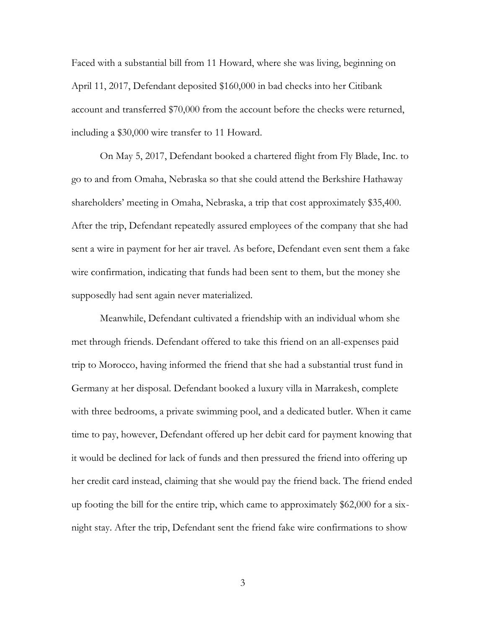Faced with a substantial bill from 11 Howard, where she was living, beginning on April 11, 2017, Defendant deposited \$160,000 in bad checks into her Citibank account and transferred \$70,000 from the account before the checks were returned, including a \$30,000 wire transfer to 11 Howard.

On May 5, 2017, Defendant booked a chartered flight from Fly Blade, Inc. to go to and from Omaha, Nebraska so that she could attend the Berkshire Hathaway shareholders' meeting in Omaha, Nebraska, a trip that cost approximately \$35,400. After the trip, Defendant repeatedly assured employees of the company that she had sent a wire in payment for her air travel. As before, Defendant even sent them a fake wire confirmation, indicating that funds had been sent to them, but the money she supposedly had sent again never materialized.

Meanwhile, Defendant cultivated a friendship with an individual whom she met through friends. Defendant offered to take this friend on an all-expenses paid trip to Morocco, having informed the friend that she had a substantial trust fund in Germany at her disposal. Defendant booked a luxury villa in Marrakesh, complete with three bedrooms, a private swimming pool, and a dedicated butler. When it came time to pay, however, Defendant offered up her debit card for payment knowing that it would be declined for lack of funds and then pressured the friend into offering up her credit card instead, claiming that she would pay the friend back. The friend ended up footing the bill for the entire trip, which came to approximately \$62,000 for a sixnight stay. After the trip, Defendant sent the friend fake wire confirmations to show

3